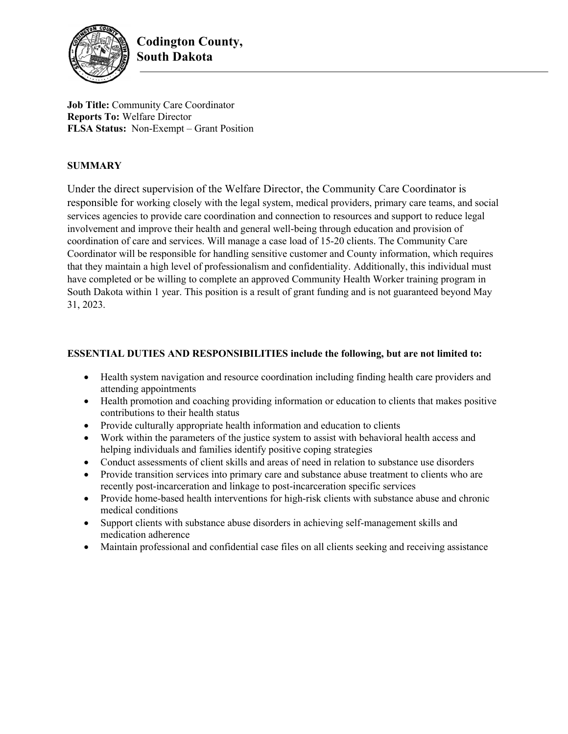

**Job Title:** Community Care Coordinator **Reports To:** Welfare Director **FLSA Status:** Non-Exempt – Grant Position

### **SUMMARY**

Under the direct supervision of the Welfare Director, the Community Care Coordinator is responsible for working closely with the legal system, medical providers, primary care teams, and social services agencies to provide care coordination and connection to resources and support to reduce legal involvement and improve their health and general well-being through education and provision of coordination of care and services. Will manage a case load of 15-20 clients. The Community Care Coordinator will be responsible for handling sensitive customer and County information, which requires that they maintain a high level of professionalism and confidentiality. Additionally, this individual must have completed or be willing to complete an approved Community Health Worker training program in South Dakota within 1 year. This position is a result of grant funding and is not guaranteed beyond May 31, 2023.

#### **ESSENTIAL DUTIES AND RESPONSIBILITIES include the following, but are not limited to:**

- Health system navigation and resource coordination including finding health care providers and attending appointments
- Health promotion and coaching providing information or education to clients that makes positive contributions to their health status
- Provide culturally appropriate health information and education to clients
- Work within the parameters of the justice system to assist with behavioral health access and helping individuals and families identify positive coping strategies
- Conduct assessments of client skills and areas of need in relation to substance use disorders
- Provide transition services into primary care and substance abuse treatment to clients who are recently post-incarceration and linkage to post-incarceration specific services
- Provide home-based health interventions for high-risk clients with substance abuse and chronic medical conditions
- Support clients with substance abuse disorders in achieving self-management skills and medication adherence
- Maintain professional and confidential case files on all clients seeking and receiving assistance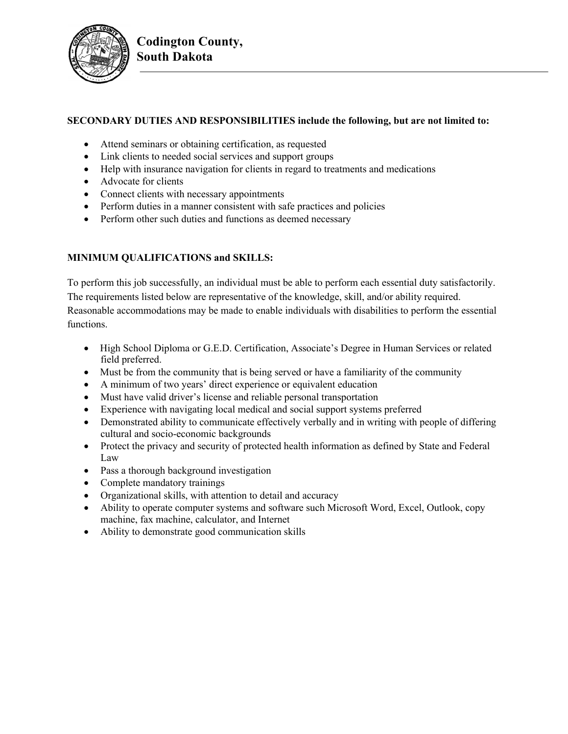

### **SECONDARY DUTIES AND RESPONSIBILITIES include the following, but are not limited to:**

- Attend seminars or obtaining certification, as requested
- Link clients to needed social services and support groups
- Help with insurance navigation for clients in regard to treatments and medications
- Advocate for clients
- Connect clients with necessary appointments
- Perform duties in a manner consistent with safe practices and policies
- Perform other such duties and functions as deemed necessary

# **MINIMUM QUALIFICATIONS and SKILLS:**

To perform this job successfully, an individual must be able to perform each essential duty satisfactorily. The requirements listed below are representative of the knowledge, skill, and/or ability required. Reasonable accommodations may be made to enable individuals with disabilities to perform the essential functions.

- High School Diploma or G.E.D. Certification, Associate's Degree in Human Services or related field preferred.
- Must be from the community that is being served or have a familiarity of the community
- A minimum of two years' direct experience or equivalent education
- Must have valid driver's license and reliable personal transportation
- Experience with navigating local medical and social support systems preferred
- Demonstrated ability to communicate effectively verbally and in writing with people of differing cultural and socio-economic backgrounds
- Protect the privacy and security of protected health information as defined by State and Federal Law
- Pass a thorough background investigation
- Complete mandatory trainings
- Organizational skills, with attention to detail and accuracy
- Ability to operate computer systems and software such Microsoft Word, Excel, Outlook, copy machine, fax machine, calculator, and Internet
- Ability to demonstrate good communication skills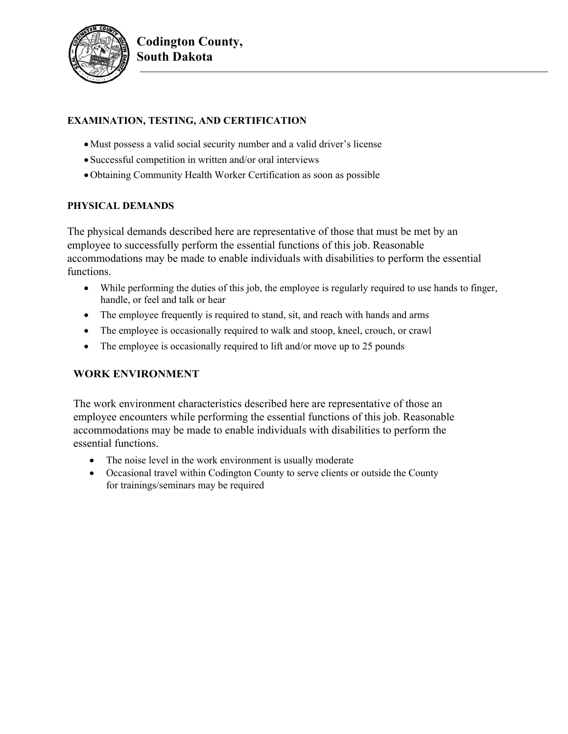

# **EXAMINATION, TESTING, AND CERTIFICATION**

- Must possess a valid social security number and a valid driver's license
- Successful competition in written and/or oral interviews
- Obtaining Community Health Worker Certification as soon as possible

### **PHYSICAL DEMANDS**

The physical demands described here are representative of those that must be met by an employee to successfully perform the essential functions of this job. Reasonable accommodations may be made to enable individuals with disabilities to perform the essential functions.

- While performing the duties of this job, the employee is regularly required to use hands to finger, handle, or feel and talk or hear
- The employee frequently is required to stand, sit, and reach with hands and arms
- The employee is occasionally required to walk and stoop, kneel, crouch, or crawl
- The employee is occasionally required to lift and/or move up to 25 pounds

# **WORK ENVIRONMENT**

The work environment characteristics described here are representative of those an employee encounters while performing the essential functions of this job. Reasonable accommodations may be made to enable individuals with disabilities to perform the essential functions.

- The noise level in the work environment is usually moderate
- Occasional travel within Codington County to serve clients or outside the County for trainings/seminars may be required